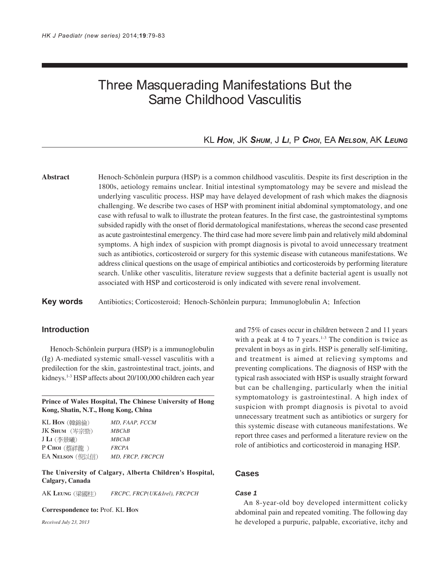# Three Masquerading Manifestations But the Same Childhood Vasculitis

# KL *HON*, JK *SHUM*, J *LI*, P *CHOI*, EA *NELSON*, AK *LEUNG*

**Abstract** Henoch-Schönlein purpura (HSP) is a common childhood vasculitis. Despite its first description in the 1800s, aetiology remains unclear. Initial intestinal symptomatology may be severe and mislead the underlying vasculitic process. HSP may have delayed development of rash which makes the diagnosis challenging. We describe two cases of HSP with prominent initial abdominal symptomatology, and one case with refusal to walk to illustrate the protean features. In the first case, the gastrointestinal symptoms subsided rapidly with the onset of florid dermatological manifestations, whereas the second case presented as acute gastrointestinal emergency. The third case had more severe limb pain and relatively mild abdominal symptoms. A high index of suspicion with prompt diagnosis is pivotal to avoid unnecessary treatment such as antibiotics, corticosteroid or surgery for this systemic disease with cutaneous manifestations. We address clinical questions on the usage of empirical antibiotics and corticosteroids by performing literature search. Unlike other vasculitis, literature review suggests that a definite bacterial agent is usually not associated with HSP and corticosteroid is only indicated with severe renal involvement.

**Key words** Antibiotics; Corticosteroid; Henoch-Schönlein purpura; Immunoglobulin A; Infection

## **Introduction**

Henoch-Schönlein purpura (HSP) is a immunoglobulin (Ig) A-mediated systemic small-vessel vasculitis with a predilection for the skin, gastrointestinal tract, joints, and kidneys.1-3 HSP affects about 20/100,000 children each year

**Prince of Wales Hospital, The Chinese University of Hong Kong, Shatin, N.T., Hong Kong, China**

| KL Hon (韓錦倫)    | MD. FAAP. FCCM   |
|-----------------|------------------|
| JK Shum (岑宗勁)   | MBChB            |
| JLn(李景曦)        | MBChB            |
| $P$ CHOI (蔡祥龍)  | <b>FRCPA</b>     |
| EA NELSON (倪以信) | MD. FRCP. FRCPCH |

**The University of Calgary, Alberta Children's Hospital, Calgary, Canada**

AK **LEUNG** *FRCPC, FRCP(UK&Irel), FRCPCH*

**Correspondence to:** Prof. KL **HON**

*Received July 23, 2013*

and 75% of cases occur in children between 2 and 11 years with a peak at 4 to 7 years.<sup>1-3</sup> The condition is twice as prevalent in boys as in girls. HSP is generally self-limiting, and treatment is aimed at relieving symptoms and preventing complications. The diagnosis of HSP with the typical rash associated with HSP is usually straight forward but can be challenging, particularly when the initial symptomatology is gastrointestinal. A high index of suspicion with prompt diagnosis is pivotal to avoid unnecessary treatment such as antibiotics or surgery for this systemic disease with cutaneous manifestations. We report three cases and performed a literature review on the role of antibiotics and corticosteroid in managing HSP.

### **Cases**

#### *Case 1*

An 8-year-old boy developed intermittent colicky abdominal pain and repeated vomiting. The following day he developed a purpuric, palpable, excoriative, itchy and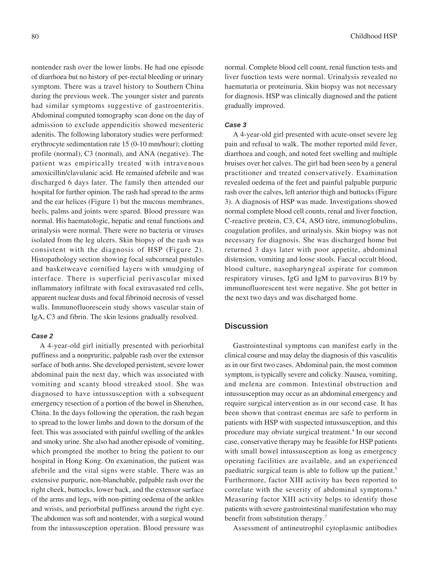nontender rash over the lower limbs. He had one episode of diarrhoea but no history of per-rectal bleeding or urinary symptom. There was a travel history to Southern China during the previous week. The younger sister and parents had similar symptoms suggestive of gastroenteritis. Abdominal computed tomography scan done on the day of admission to exclude appendicitis showed mesenteric adenitis. The following laboratory studies were performed: erythrocyte sedimentation rate 15 (0-10 mm/hour); clotting profile (normal), C3 (normal), and ANA (negative). The patient was empirically treated with intravenous amoxicillin/clavulanic acid. He remained afebrile and was discharged 6 days later. The family then attended our hospital for further opinion. The rash had spread to the arms and the ear helices (Figure 1) but the mucous membranes, heels, palms and joints were spared. Blood pressure was normal. His haematologic, hepatic and renal functions and urinalysis were normal. There were no bacteria or viruses isolated from the leg ulcers. Skin biopsy of the rash was consistent with the diagnosis of HSP (Figure 2). Histopathology section showing focal subcorneal pustules and basketweave cornified layers with smudging of interface. There is superficial perivascular mixed inflammatory infiltrate with focal extravasated red cells, apparent nuclear dusts and focal fibrinoid necrosis of vessel walls. Immunofluorescein study shows vascular stain of IgA, C3 and fibrin. The skin lesions gradually resolved.

#### *Case 2*

A 4-year-old girl initially presented with periorbital puffiness and a nonpruritic, palpable rash over the extensor surface of both arms. She developed persistent, severe lower abdominal pain the next day, which was associated with vomiting and scanty blood streaked stool. She was diagnosed to have intussusception with a subsequent emergency resection of a portion of the bowel in Shenzhen, China. In the days following the operation, the rash began to spread to the lower limbs and down to the dorsum of the feet. This was associated with painful swelling of the ankles and smoky urine. She also had another episode of vomiting, which prompted the mother to bring the patient to our hospital in Hong Kong. On examination, the patient was afebrile and the vital signs were stable. There was an extensive purpuric, non-blanchable, palpable rash over the right cheek, buttocks, lower back, and the extensor surface of the arms and legs, with non-pitting oedema of the ankles and wrists, and periorbital puffiness around the right eye. The abdomen was soft and nontender, with a surgical wound from the intussusception operation. Blood pressure was

normal. Complete blood cell count, renal function tests and liver function tests were normal. Urinalysis revealed no haematuria or proteinuria. Skin biopsy was not necessary for diagnosis. HSP was clinically diagnosed and the patient gradually improved.

#### *Case 3*

A 4-year-old girl presented with acute-onset severe leg pain and refusal to walk. The mother reported mild fever, diarrhoea and cough, and noted feet swelling and multiple bruises over her calves. The girl had been seen by a general practitioner and treated conservatively. Examination revealed oedema of the feet and painful palpable purpuric rash over the calves, left anterior thigh and buttocks (Figure 3). A diagnosis of HSP was made. Investigations showed normal complete blood cell counts, renal and liver function, C-reactive protein, C3, C4, ASO titre, immunoglobulins, coagulation profiles, and urinalysis. Skin biopsy was not necessary for diagnosis. She was discharged home but returned 3 days later with poor appetite, abdominal distension, vomiting and loose stools. Faecal occult blood, blood culture, nasopharyngeal aspirate for common respiratory viruses, IgG and IgM to parvovirus B19 by immunofluorescent test were negative. She got better in the next two days and was discharged home.

## **Discussion**

Gastrointestinal symptoms can manifest early in the clinical course and may delay the diagnosis of this vasculitis as in our first two cases. Abdominal pain, the most common symptom, is typically severe and colicky. Nausea, vomiting, and melena are common. Intestinal obstruction and intussusception may occur as an abdominal emergency and require surgical intervention as in our second case. It has been shown that contrast enemas are safe to perform in patients with HSP with suspected intussusception, and this procedure may obviate surgical treatment.<sup>4</sup> In our second case, conservative therapy may be feasible for HSP patients with small bowel intussusception as long as emergency operating facilities are available, and an experienced paediatric surgical team is able to follow up the patient.<sup>5</sup> Furthermore, factor XIII activity has been reported to correlate with the severity of abdominal symptoms.<sup>6</sup> Measuring factor XIII activity helps to identify those patients with severe gastrointestinal manifestation who may benefit from substitution therapy.7

Assessment of antineutrophil cytoplasmic antibodies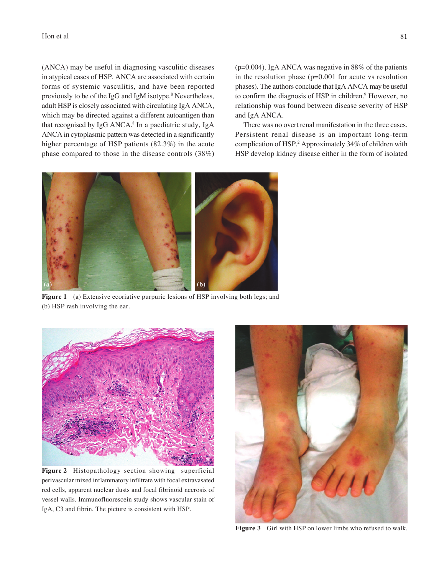#### Hon et al  $\vert$  81

(ANCA) may be useful in diagnosing vasculitic diseases in atypical cases of HSP. ANCA are associated with certain forms of systemic vasculitis, and have been reported previously to be of the IgG and IgM isotype.<sup>8</sup> Nevertheless, adult HSP is closely associated with circulating IgA ANCA, which may be directed against a different autoantigen than that recognised by IgG ANCA.<sup>8</sup> In a paediatric study, IgA ANCA in cytoplasmic pattern was detected in a significantly higher percentage of HSP patients (82.3%) in the acute phase compared to those in the disease controls (38%)

(p=0.004). IgA ANCA was negative in 88% of the patients in the resolution phase  $(p=0.001$  for acute vs resolution phases). The authors conclude that IgA ANCA may be useful to confirm the diagnosis of HSP in children.<sup>9</sup> However, no relationship was found between disease severity of HSP and IgA ANCA.

There was no overt renal manifestation in the three cases. Persistent renal disease is an important long-term complication of HSP.2 Approximately 34% of children with HSP develop kidney disease either in the form of isolated



**Figure 1** (a) Extensive ecoriative purpuric lesions of HSP involving both legs; and (b) HSP rash involving the ear.



**Figure 2** Histopathology section showing superficial perivascular mixed inflammatory infiltrate with focal extravasated red cells, apparent nuclear dusts and focal fibrinoid necrosis of vessel walls. Immunofluorescein study shows vascular stain of IgA, C3 and fibrin. The picture is consistent with HSP.



**Figure 3** Girl with HSP on lower limbs who refused to walk.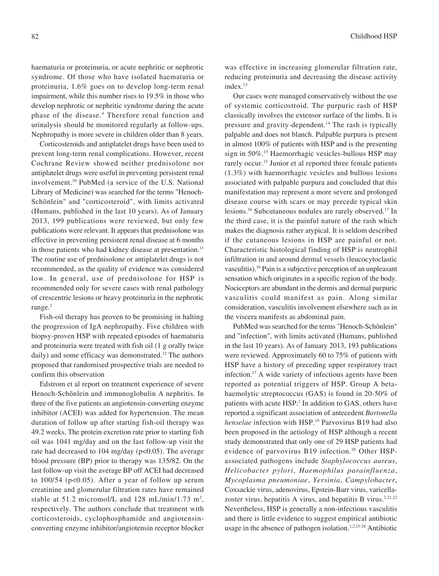haematuria or proteinuria, or acute nephritic or nephrotic syndrome. Of those who have isolated haematuria or proteinuria, 1.6% goes on to develop long-term renal impairment, while this number rises to 19.5% in those who develop nephrotic or nephritic syndrome during the acute phase of the disease.4 Therefore renal function and urinalysis should be monitored regularly at follow-ups. Nephropathy is more severe in children older than 8 years.

Corticosteroids and antiplatelet drugs have been used to prevent long-term renal complications. However, recent Cochrane Review showed neither prednisolone nor antiplatelet drugs were useful in preventing persistent renal involvement.10 PubMed (a service of the U.S. National Library of Medicine) was searched for the terms "Henoch-Schönlein" and "corticosteroid", with limits activated (Humans, published in the last 10 years). As of January 2013, 199 publications were reviewed, but only few publications were relevant. It appears that prednisolone was effective in preventing persistent renal disease at 6 months in those patients who had kidney disease at presentation.<sup>11</sup> The routine use of prednisolone or antiplatelet drugs is not recommended, as the quality of evidence was considered low. In general, use of prednisolone for HSP is recommended only for severe cases with renal pathology of crescentric lesions or heavy proteinuria in the nephrotic range.<sup>2</sup>

Fish-oil therapy has proven to be promising in halting the progression of IgA nephropathy. Five children with biopsy-proven HSP with repeated episodes of haematuria and proteinuria were treated with fish oil (1 g orally twice daily) and some efficacy was demonstrated.<sup>12</sup> The authors proposed that randomised prospective trials are needed to confirm this observation

Edstrom et al report on treatment experience of severe Henoch-Schönlein and immunoglobulin A nephritis. In three of the five patients an angiotensin-converting enzyme inhibitor (ACEI) was added for hypertension. The mean duration of follow up after starting fish-oil therapy was 49.2 weeks. The protein excretion rate prior to starting fish oil was 1041 mg/day and on the last follow-up visit the rate had decreased to 104 mg/day (p<0.05). The average blood pressure (BP) prior to therapy was 135/82. On the last follow-up visit the average BP off ACEI had decreased to  $100/54$  ( $p<0.05$ ). After a year of follow up serum creatinine and glomerular filtration rates have remained stable at 51.2 micromol/L and 128 mL/min/1.73 m<sup>2</sup>, respectively. The authors conclude that treatment with corticosteroids, cyclophosphamide and angiotensinconverting enzyme inhibitor/angiotensin receptor blocker

was effective in increasing glomerular filtration rate, reducing proteinuria and decreasing the disease activity index.<sup>13</sup>

Our cases were managed conservatively without the use of systemic corticostroid. The purpuric rash of HSP classically involves the extensor surface of the limbs. It is pressure and gravity-dependent.14 The rash is typically palpable and does not blanch. Palpable purpura is present in almost 100% of patients with HSP and is the presenting sign in 50%.15 Haemorrhagic vesicles-bullous HSP may rarely occur.15 Junior et al reported three female patients (1.3%) with haemorrhagic vesicles and bullous lesions associated with palpable purpura and concluded that this manifestation may represent a more severe and prolonged disease course with scars or may precede typical skin lesions.16 Subcutaneous nodules are rarely observed.17 In the third case, it is the painful nature of the rash which makes the diagnosis rather atypical. It is seldom described if the cutaneous lesions in HSP are painful or not. Characteristic histological finding of HSP is neutrophil infiltration in and around dermal vessels (leucocytoclastic vasculitis).18 Pain is a subjective perception of an unpleasant sensation which originates in a specific region of the body. Nociceptors are abundant in the dermis and dermal purpuric vasculitis could manifest as pain. Along similar consideration, vasculitis involvement elsewhere such as in the viscera manifests as abdominal pain.

PubMed was searched for the terms "Henoch-Schönlein" and "infection", with limits activated (Humans, published in the last 10 years). As of January 2013, 193 publications were reviewed. Approximately 60 to 75% of patients with HSP have a history of preceding upper respiratory tract infection.17 A wide variety of infectious agents have been reported as potential triggers of HSP. Group A betahaemolytic streptococcus (GAS) is found in 20-50% of patients with acute HSP.<sup>2</sup> In addition to GAS, others have reported a significant association of antecedent *Bartonella henselae* infection with HSP.19 Parvovirus B19 had also been proposed in the aetiology of HSP although a recent study demonstrated that only one of 29 HSP patients had evidence of parvovirus B19 infection.<sup>20</sup> Other HSPassociated pathogens include *Staphylococcus aureus*, *Helicobacter pylori*, *Haemophilus parainfluenza*, *Mycoplasma pneumoniae*, *Yersinia*, *Campylobacter*, Coxsackie virus, adenovirus, Epstein-Barr virus, varicellazoster virus, hepatitis A virus, and hepatitis B virus.<sup>2,21,22</sup> Nevertheless, HSP is generally a non-infectious vasculitis and there is little evidence to suggest empirical antibiotic usage in the absence of pathogen isolation.<sup>1,2,23-28</sup> Antibiotic